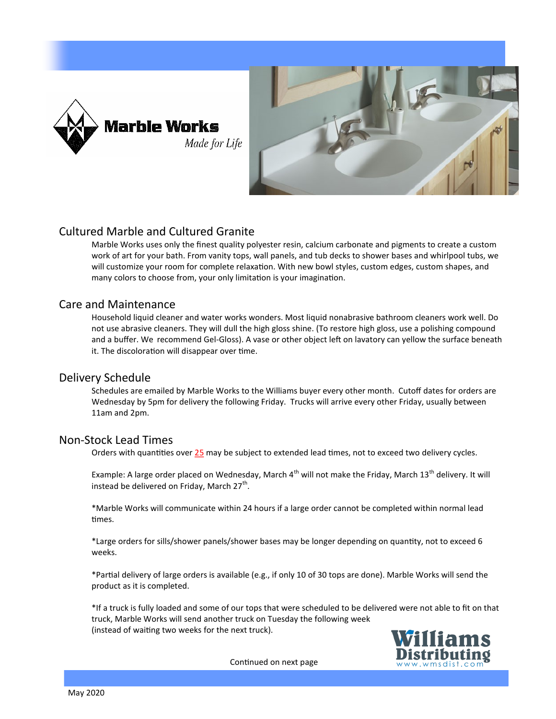



### Cultured Marble and Cultured Granite

Marble Works uses only the finest quality polyester resin, calcium carbonate and pigments to create a custom work of art for your bath. From vanity tops, wall panels, and tub decks to shower bases and whirlpool tubs, we will customize your room for complete relaxation. With new bowl styles, custom edges, custom shapes, and many colors to choose from, your only limitation is your imagination.

### Care and Maintenance

Household liquid cleaner and water works wonders. Most liquid nonabrasive bathroom cleaners work well. Do not use abrasive cleaners. They will dull the high gloss shine. (To restore high gloss, use a polishing compound and a buffer. We recommend Gel-Gloss). A vase or other object left on lavatory can yellow the surface beneath it. The discoloration will disappear over time.

### Delivery Schedule

Schedules are emailed by Marble Works to the Williams buyer every other month. Cutoff dates for orders are Wednesday by 5pm for delivery the following Friday. Trucks will arrive every other Friday, usually between 11am and 2pm.

### Non-Stock Lead Times

Orders with quantities over 25 may be subject to extended lead times, not to exceed two delivery cycles.

Example: A large order placed on Wednesday, March  $4^{th}$  will not make the Friday, March 13<sup>th</sup> delivery. It will instead be delivered on Friday, March 27<sup>th</sup>.

\*Marble Works will communicate within 24 hours if a large order cannot be completed within normal lead times.

\*Large orders for sills/shower panels/shower bases may be longer depending on quantity, not to exceed 6 weeks.

\*Partial delivery of large orders is available (e.g., if only 10 of 30 tops are done). Marble Works will send the product as it is completed.

\*If a truck is fully loaded and some of our tops that were scheduled to be delivered were not able to fit on that truck, Marble Works will send another truck on Tuesday the following week (instead of waiting two weeks for the next truck).



Continued on next page